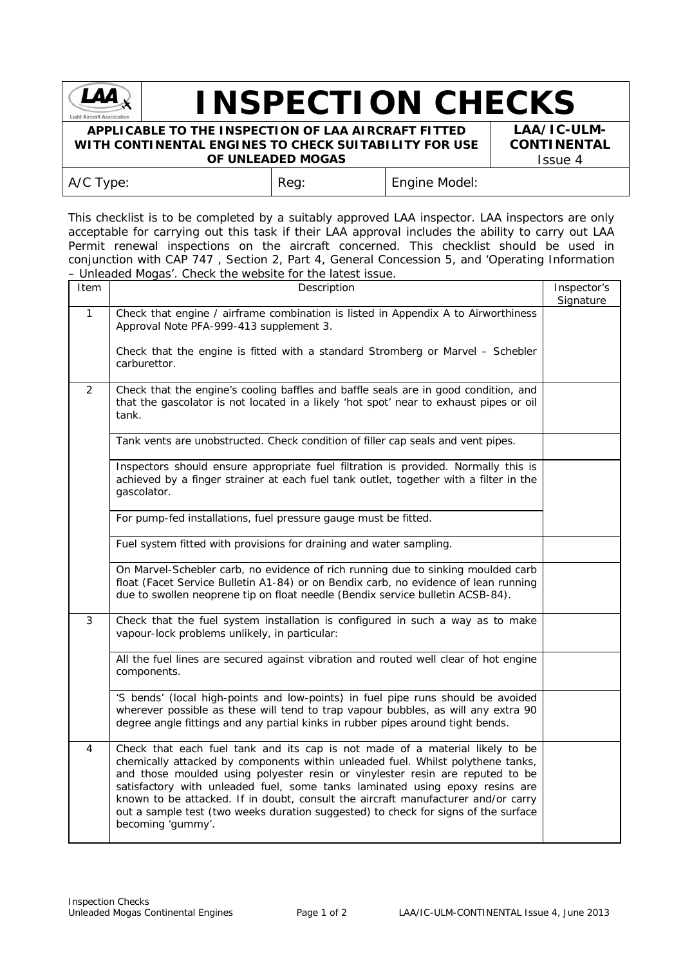

## **INSPECTION CHECKS**

## **APPLICABLE TO THE INSPECTION OF LAA AIRCRAFT FITTED WITH CONTINENTAL ENGINES TO CHECK SUITABILITY FOR USE OF UNLEADED MOGAS**

**LAA/IC-ULM-CONTINENTAL** Issue 4

| A/C Type: | $ $ Reg: | En |
|-----------|----------|----|

qine Model:

This checklist is to be completed by a suitably approved LAA inspector. LAA inspectors are only acceptable for carrying out this task if their LAA approval includes the ability to carry out LAA Permit renewal inspections on the aircraft concerned. This checklist should be used in conjunction with CAP 747 , Section 2, Part 4, General Concession 5, and 'Operating Information – Unleaded Mogas'. Check the website for the latest issue.

| Item         | Description                                                                                                                                                                                                                                                                                                                                                                                                                                                                                                                      |           |  |  |
|--------------|----------------------------------------------------------------------------------------------------------------------------------------------------------------------------------------------------------------------------------------------------------------------------------------------------------------------------------------------------------------------------------------------------------------------------------------------------------------------------------------------------------------------------------|-----------|--|--|
| $\mathbf{1}$ | Check that engine / airframe combination is listed in Appendix A to Airworthiness<br>Approval Note PFA-999-413 supplement 3.                                                                                                                                                                                                                                                                                                                                                                                                     | Signature |  |  |
|              | Check that the engine is fitted with a standard Stromberg or Marvel - Schebler<br>carburettor.                                                                                                                                                                                                                                                                                                                                                                                                                                   |           |  |  |
| 2            | Check that the engine's cooling baffles and baffle seals are in good condition, and<br>that the gascolator is not located in a likely 'hot spot' near to exhaust pipes or oil<br>tank.                                                                                                                                                                                                                                                                                                                                           |           |  |  |
|              | Tank vents are unobstructed. Check condition of filler cap seals and vent pipes.                                                                                                                                                                                                                                                                                                                                                                                                                                                 |           |  |  |
|              | Inspectors should ensure appropriate fuel filtration is provided. Normally this is<br>achieved by a finger strainer at each fuel tank outlet, together with a filter in the<br>gascolator.                                                                                                                                                                                                                                                                                                                                       |           |  |  |
|              | For pump-fed installations, fuel pressure gauge must be fitted.                                                                                                                                                                                                                                                                                                                                                                                                                                                                  |           |  |  |
|              | Fuel system fitted with provisions for draining and water sampling.                                                                                                                                                                                                                                                                                                                                                                                                                                                              |           |  |  |
|              | On Marvel-Schebler carb, no evidence of rich running due to sinking moulded carb<br>float (Facet Service Bulletin A1-84) or on Bendix carb, no evidence of lean running<br>due to swollen neoprene tip on float needle (Bendix service bulletin ACSB-84).                                                                                                                                                                                                                                                                        |           |  |  |
| 3            | Check that the fuel system installation is configured in such a way as to make<br>vapour-lock problems unlikely, in particular:                                                                                                                                                                                                                                                                                                                                                                                                  |           |  |  |
|              | All the fuel lines are secured against vibration and routed well clear of hot engine<br>components.                                                                                                                                                                                                                                                                                                                                                                                                                              |           |  |  |
|              | 'S bends' (local high-points and low-points) in fuel pipe runs should be avoided<br>wherever possible as these will tend to trap vapour bubbles, as will any extra 90<br>degree angle fittings and any partial kinks in rubber pipes around tight bends.                                                                                                                                                                                                                                                                         |           |  |  |
| 4            | Check that each fuel tank and its cap is not made of a material likely to be<br>chemically attacked by components within unleaded fuel. Whilst polythene tanks,<br>and those moulded using polyester resin or vinylester resin are reputed to be<br>satisfactory with unleaded fuel, some tanks laminated using epoxy resins are<br>known to be attacked. If in doubt, consult the aircraft manufacturer and/or carry<br>out a sample test (two weeks duration suggested) to check for signs of the surface<br>becoming 'gummy'. |           |  |  |